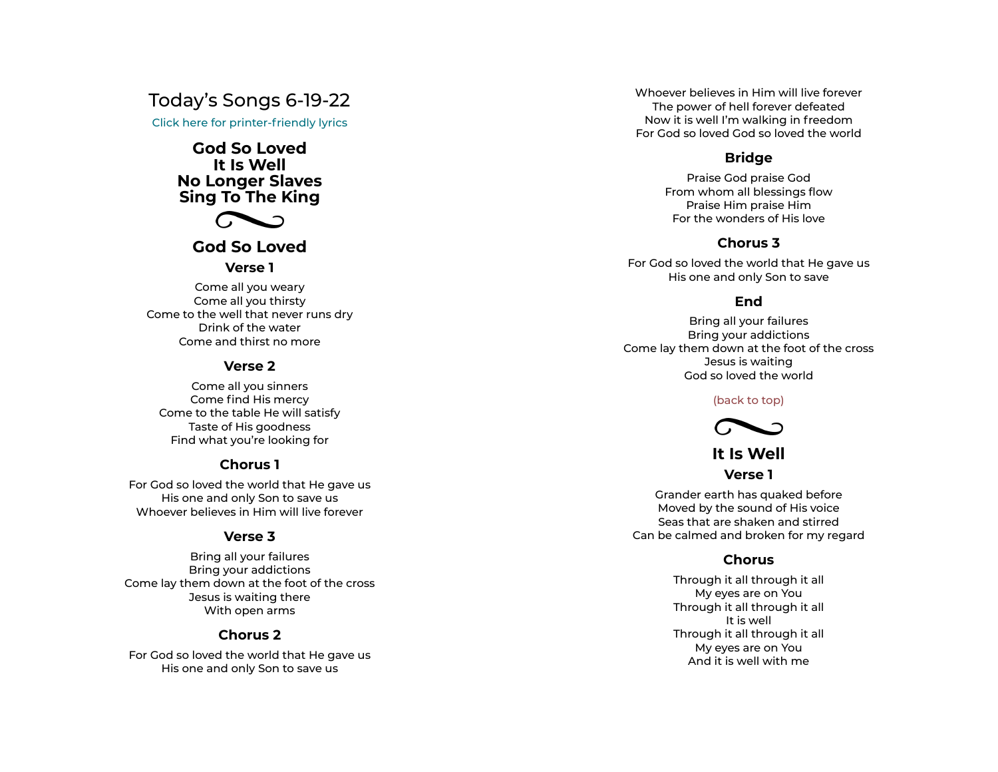# Today's Songs 6-19-22

Click here for printer-friendly lyrics

# **God So Loved It Is Well No Longer Slaves Sing To The King**



# **God So Loved**

#### **Verse 1**

Come all you weary Come all you thirsty Come to the well that never runs dry Drink of the water Come and thirst no more Come all you thirsty<br>
b the well that never runs dry<br>
Drink of the water<br>
prink of the water<br>
prince and thirst no more<br> **Verse 2**<br>
Come all you sinners<br>
Come find His mercy

#### **Verse 2**

Come all you sinners Come to the table He will satisfy Taste of His goodness Find what you're looking for

### **Chorus 1**

For God so loved the world that He gave us His one and only Son to save us Whoever believes in Him will live forever

### **Verse 3**

Bring all your failures Bring your addictions Come lay them down at the foot of the cross Jesus is waiting there With open arms

### **Chorus 2**

For God so loved the world that He gave us His one and only Son to save us

Whoever believes in Him will live forever The power of hell forever defeated Now it is well I'm walking in freedom For God so loved God so loved the world Whoever believes in Him will live form<br>The power of hell forever defeated<br>Now it is well I'm walking in freedor<br>For God so loved God so loved the ware<br>Bridge<br>Praise God praise God<br>From whom all blessings flow

## **Bridge**

Praise God praise God Praise Him praise Him For the wonders of His love

## **Chorus 3**

For God so loved the world that He gave us His one and only Son to save

# **End**

Bring all your failures Bring your addictions Come lay them down at the foot of the cross Jesus is waiting God so loved the world

#### (back to top)



# **It Is Well Verse 1**

Grander earth has quaked before Moved by the sound of His voice Seas that are shaken and stirred Can be calmed and broken for my regard

## **Chorus**

Through it all through it all My eyes are on You Through it all through it all It is well Through it all through it all My eyes are on You And it is well with me